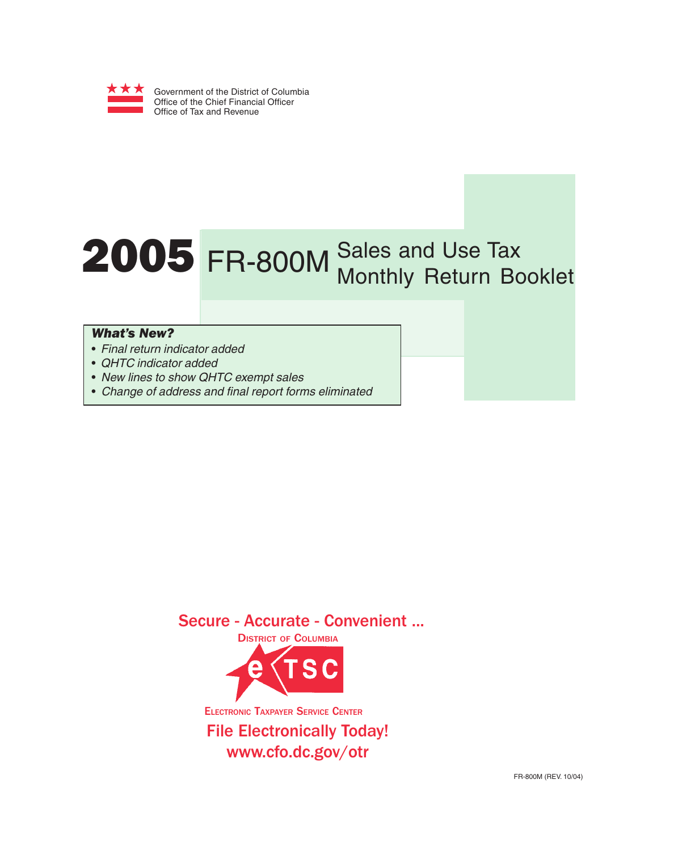

# 2005 FR-800M Sales and Use Tax Monthly Return Booklet

### *What's New?*

- Final return indicator added
- QHTC indicator added
- New lines to show QHTC exempt sales
- Change of address and final report forms eliminated

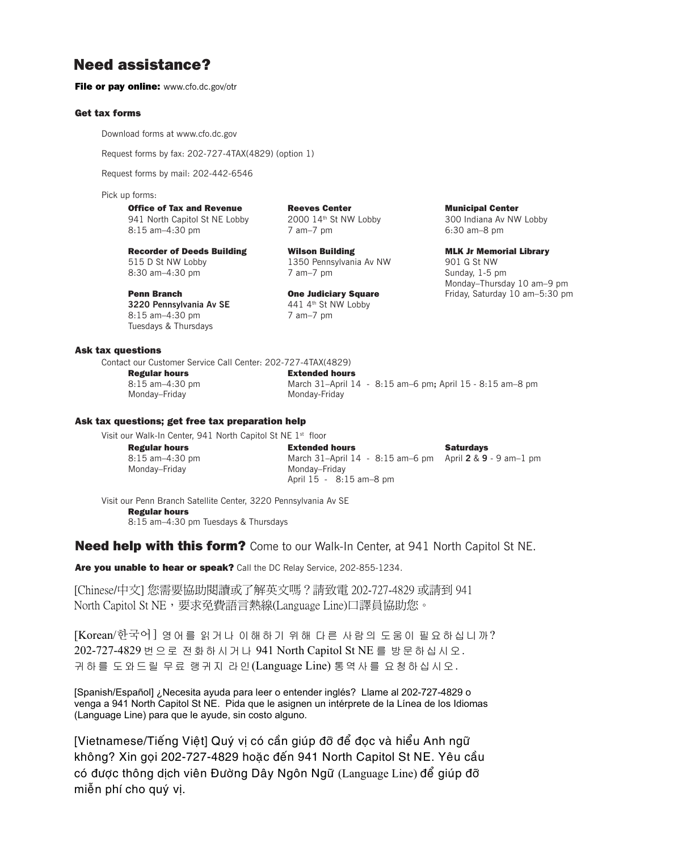## **Need assistance?**

**File or pay online:** www.cfo.dc.gov/otr

#### **Get tax forms**

Download forms at www.cfo.dc.gov

Request forms by fax: 202-727-4TAX(4829) (option 1)

Request forms by mail: 202-442-6546

Pick up forms:

#### **Office of Tax and Revenue Municipal Center Reeves Center Center Municipal Center**

941 North Capitol St NE Lobby 2000 14th St NW Lobby 300 Indiana Av NW Lobby 8:15 am–4:30 pm 7 am–7 pm 6:30 am–8 pm

**Recorder of Deeds Building Wilson Building MLK Jr Memorial Library** 515 D St NW Lobby 1350 Pennsylvania Av NW 901 G St NW 8:30 am–4:30 pm 7 am–7 pm 7 am–7 pm Sunday, 1-5 pm

**3220 Pennsylvania Av SE** 441 4<sup>th</sup> St NW Lobby 8:15 am–4:30 pm 7 am–7 pm Tuesdays & Thursdays

#### **Ask tax questions**

Contact our Customer Service Call Center: 202-727-4TAX(4829)

**Regular hours Extended hours**

8:15 am–4:30 pm March 31–April 14 - 8:15 am–6 pm**;** April 15 - 8:15 am–8 pm Monday–Friday Monday-Friday

#### **Ask tax questions; get free tax preparation help**

Visit our Walk-In Center, 941 North Capitol St NE 1<sup>st</sup> floor

| <b>Regular hours</b> | <b>Extended hours</b>                                      | <b>Saturdavs</b> |
|----------------------|------------------------------------------------------------|------------------|
| $8:15$ am $-4:30$ pm | March 31-April 14 - 8:15 am -6 pm April 2 & 9 - 9 am -1 pm |                  |
| Mondav–Fridav        | Mondav–Fridav                                              |                  |
|                      | April $15 - 8.15$ am-8 pm                                  |                  |

Visit our Penn Branch Satellite Center, 3220 Pennsylvania Av SE

#### **Regular hours**

8:15 am–4:30 pm Tuesdays & Thursdays

**Need help with this form?** Come to our Walk-In Center, at 941 North Capitol St NE.

**Are you unable to hear or speak?** Call the DC Relay Service, 202-855-1234.

[Chinese/中文] 您需要協助閱讀或了解英文嗎? 請致電 202-727-4829 或請到 941 North Capitol St NE,要求免費語言熱線(Language Line)口譯員協助您。

[Korean/한국어 ] 영어를 읽거나 이해하기 위해 다른 사람의 도움이 필요하십니까? 202-727-4829 번으로 전화하시거나 941 North Capitol St NE 를 방문하십시오. 귀하를 도와드릴 무료 랭귀지 라인(Language Line) 통역사를 요청하십시오.

[Spanish/Español] ¿Necesita ayuda para leer o entender inglés? Llame al 202-727-4829 o venga a 941 North Capitol St NE. Pida que le asignen un intérprete de la Línea de los Idiomas (Language Line) para que le ayude, sin costo alguno.

có được thông dịch viên Đường Dây Ngôn Ngữ (Language Line) để giúp đỡ [Vietnamese/Tiếng Viêt] Quý vi có cần giúp đỡ để đọc và hiểu Anh ngữ không? Xin gọi 202-727-4829 hoặc đến 941 North Capitol St NE. Yêu cầu miễn phí cho quý vi.

Monday–Thursday 10 am–9 pm **Penn Branch Cone Judiciary Square** Friday, Saturday 10 am–5:30 pm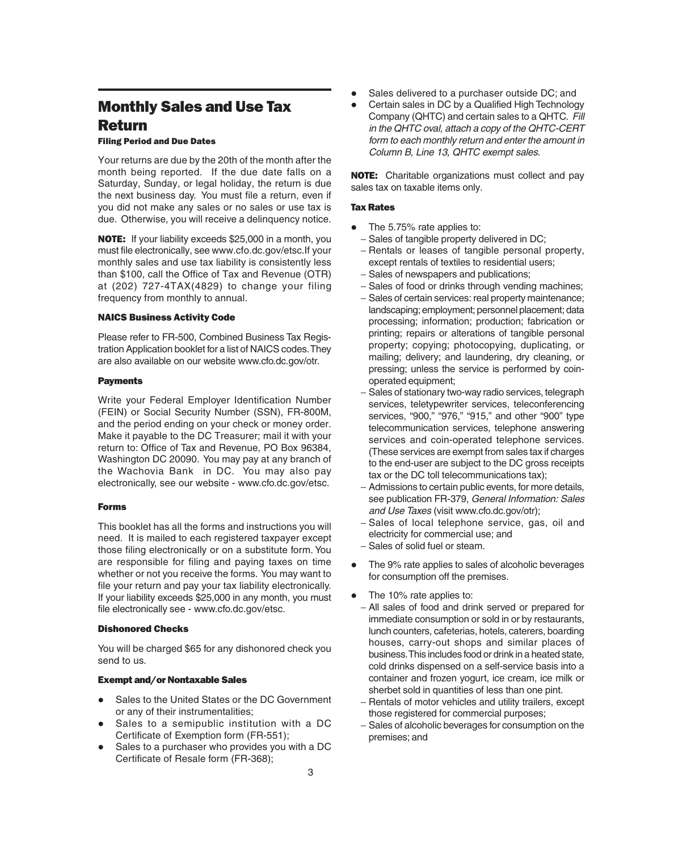## **Monthly Sales and Use Tax Return**

#### **Filing Period and Due Dates**

Your returns are due by the 20th of the month after the month being reported. If the due date falls on a Saturday, Sunday, or legal holiday, the return is due the next business day. You must file a return, even if you did not make any sales or no sales or use tax is due. Otherwise, you will receive a delinquency notice.

**NOTE:** If your liability exceeds \$25,000 in a month, you must file electronically, see www.cfo.dc.gov/etsc.If your monthly sales and use tax liability is consistently less than \$100, call the Office of Tax and Revenue (OTR) at (202) 727-4TAX(4829) to change your filing frequency from monthly to annual.

#### **NAICS Business Activity Code**

Please refer to FR-500, Combined Business Tax Registration Application booklet for a list of NAICS codes. They are also available on our website www.cfo.dc.gov/otr.

#### **Payments**

Write your Federal Employer Identification Number (FEIN) or Social Security Number (SSN), FR-800M, and the period ending on your check or money order. Make it payable to the DC Treasurer; mail it with your return to: Office of Tax and Revenue, PO Box 96384, Washington DC 20090. You may pay at any branch of the Wachovia Bank in DC. You may also pay electronically, see our website - www.cfo.dc.gov/etsc.

#### **Forms**

This booklet has all the forms and instructions you will need. It is mailed to each registered taxpayer except those filing electronically or on a substitute form. You are responsible for filing and paying taxes on time whether or not you receive the forms. You may want to file your return and pay your tax liability electronically. If your liability exceeds \$25,000 in any month, you must file electronically see - www.cfo.dc.gov/etsc.

#### **Dishonored Checks**

You will be charged \$65 for any dishonored check you send to us.

#### **Exempt and/or Nontaxable Sales**

- Sales to the United States or the DC Government or any of their instrumentalities;
- Sales to a semipublic institution with a DC Certificate of Exemption form (FR-551);
- Sales to a purchaser who provides you with a DC Certificate of Resale form (FR-368);
- Sales delivered to a purchaser outside DC; and
- Certain sales in DC by a Qualified High Technology Company (QHTC) and certain sales to a QHTC. Fill in the QHTC oval, attach a copy of the QHTC-CERT form to each monthly return and enter the amount in Column B, Line 13, QHTC exempt sales.

**NOTE:** Charitable organizations must collect and pay sales tax on taxable items only.

#### **Tax Rates**

- The 5.75% rate applies to:
	- − Sales of tangible property delivered in DC;
	- − Rentals or leases of tangible personal property, except rentals of textiles to residential users;
	- − Sales of newspapers and publications;
	- − Sales of food or drinks through vending machines;
	- − Sales of certain services: real property maintenance; landscaping; employment; personnel placement; data processing; information; production; fabrication or printing; repairs or alterations of tangible personal property; copying; photocopying, duplicating, or mailing; delivery; and laundering, dry cleaning, or pressing; unless the service is performed by coinoperated equipment;
	- − Sales of stationary two-way radio services, telegraph services, teletypewriter services, teleconferencing services, "900," "976," "915," and other "900" type telecommunication services, telephone answering services and coin-operated telephone services. (These services are exempt from sales tax if charges to the end-user are subject to the DC gross receipts tax or the DC toll telecommunications tax);
	- − Admissions to certain public events, for more details, see publication FR-379, General Information: Sales and Use Taxes (visit www.cfo.dc.gov/otr);
	- Sales of local telephone service, gas, oil and electricity for commercial use; and
	- − Sales of solid fuel or steam.
- The 9% rate applies to sales of alcoholic beverages for consumption off the premises.
- The 10% rate applies to:
- − All sales of food and drink served or prepared for immediate consumption or sold in or by restaurants, lunch counters, cafeterias, hotels, caterers, boarding houses, carry-out shops and similar places of business. This includes food or drink in a heated state, cold drinks dispensed on a self-service basis into a container and frozen yogurt, ice cream, ice milk or sherbet sold in quantities of less than one pint.
- − Rentals of motor vehicles and utility trailers, except those registered for commercial purposes;
- − Sales of alcoholic beverages for consumption on the premises; and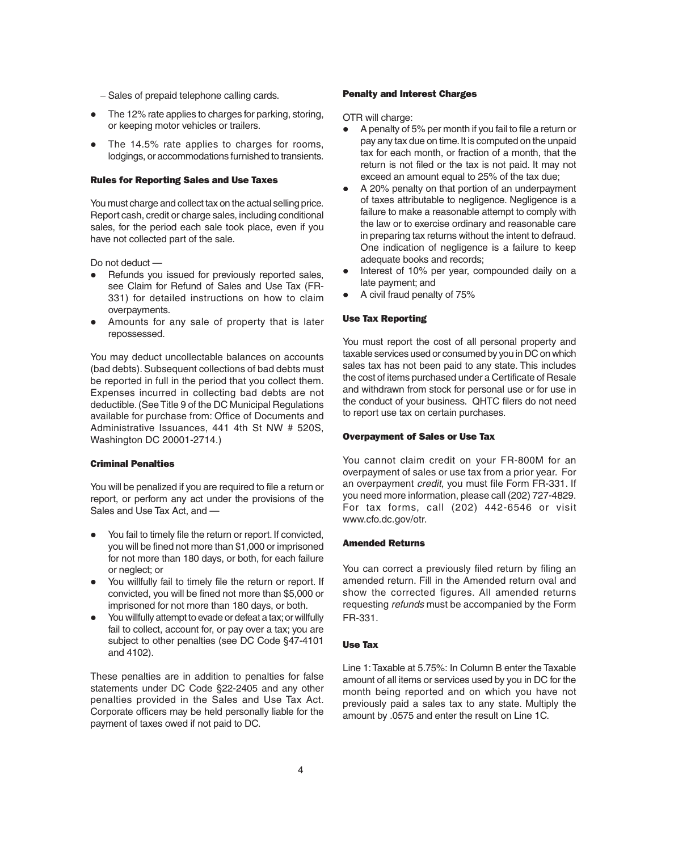- − Sales of prepaid telephone calling cards.
- The 12% rate applies to charges for parking, storing, or keeping motor vehicles or trailers.
- The 14.5% rate applies to charges for rooms, lodgings, or accommodations furnished to transients.

#### **Rules for Reporting Sales and Use Taxes**

You must charge and collect tax on the actual selling price. Report cash, credit or charge sales, including conditional sales, for the period each sale took place, even if you have not collected part of the sale.

Do not deduct —

- Refunds you issued for previously reported sales, see Claim for Refund of Sales and Use Tax (FR-331) for detailed instructions on how to claim overpayments.
- Amounts for any sale of property that is later repossessed.

You may deduct uncollectable balances on accounts (bad debts). Subsequent collections of bad debts must be reported in full in the period that you collect them. Expenses incurred in collecting bad debts are not deductible. (See Title 9 of the DC Municipal Regulations available for purchase from: Office of Documents and Administrative Issuances, 441 4th St NW # 520S, Washington DC 20001-2714.)

#### **Criminal Penalties**

You will be penalized if you are required to file a return or report, or perform any act under the provisions of the Sales and Use Tax Act, and —

- You fail to timely file the return or report. If convicted, you will be fined not more than \$1,000 or imprisoned for not more than 180 days, or both, for each failure or neglect; or
- You willfully fail to timely file the return or report. If convicted, you will be fined not more than \$5,000 or imprisoned for not more than 180 days, or both.
- You willfully attempt to evade or defeat a tax; or willfully fail to collect, account for, or pay over a tax; you are subject to other penalties (see DC Code §47-4101 and 4102).

These penalties are in addition to penalties for false statements under DC Code §22-2405 and any other penalties provided in the Sales and Use Tax Act. Corporate officers may be held personally liable for the payment of taxes owed if not paid to DC.

#### **Penalty and Interest Charges**

OTR will charge:

- A penalty of 5% per month if you fail to file a return or pay any tax due on time. It is computed on the unpaid tax for each month, or fraction of a month, that the return is not filed or the tax is not paid. It may not exceed an amount equal to 25% of the tax due;
- A 20% penalty on that portion of an underpayment of taxes attributable to negligence. Negligence is a failure to make a reasonable attempt to comply with the law or to exercise ordinary and reasonable care in preparing tax returns without the intent to defraud. One indication of negligence is a failure to keep adequate books and records;
- Interest of 10% per year, compounded daily on a late payment; and
- A civil fraud penalty of 75%

#### **Use Tax Reporting**

You must report the cost of all personal property and taxable services used or consumed by you in DC on which sales tax has not been paid to any state. This includes the cost of items purchased under a Certificate of Resale and withdrawn from stock for personal use or for use in the conduct of your business. QHTC filers do not need to report use tax on certain purchases.

#### **Overpayment of Sales or Use Tax**

You cannot claim credit on your FR-800M for an overpayment of sales or use tax from a prior year. For an overpayment credit, you must file Form FR-331. If you need more information, please call (202) 727-4829. For tax forms, call (202) 442-6546 or visit www.cfo.dc.gov/otr.

#### **Amended Returns**

You can correct a previously filed return by filing an amended return. Fill in the Amended return oval and show the corrected figures. All amended returns requesting refunds must be accompanied by the Form FR-331.

#### **Use Tax**

Line 1: Taxable at 5.75%: In Column B enter the Taxable amount of all items or services used by you in DC for the month being reported and on which you have not previously paid a sales tax to any state. Multiply the amount by .0575 and enter the result on Line 1C.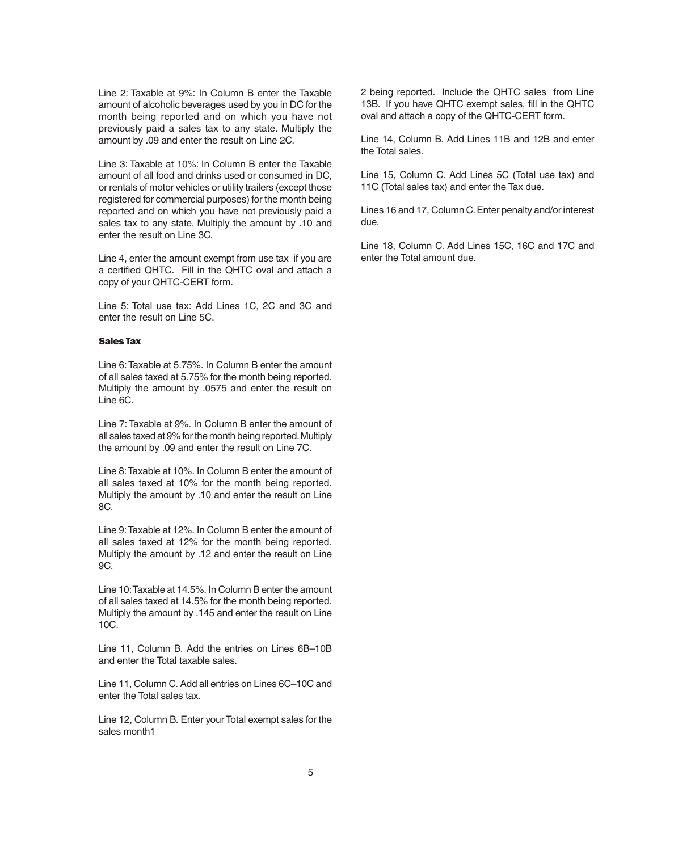Line 2: Taxable at 9%: In Column B enter the Taxable amount of alcoholic beverages used by you in DC for the month being reported and on which you have not previously paid a sales tax to any state. Multiply the amount by .09 and enter the result on Line 2C.

Line 3: Taxable at 10%: In Column B enter the Taxable amount of all food and drinks used or consumed in DC, or rentals of motor vehicles or utility trailers (except those registered for commercial purposes) for the month being reported and on which you have not previously paid a sales tax to any state. Multiply the amount by .10 and enter the result on Line 3C.

Line 4, enter the amount exempt from use tax if you are a certified QHTC. Fill in the QHTC oval and attach a copy of your QHTC-CERT form.

Line 5: Total use tax: Add Lines 1C, 2C and 3C and enter the result on Line 5C.

#### **Sales Tax**

Line 6: Taxable at 5.75%. In Column B enter the amount of all sales taxed at 5.75% for the month being reported. Multiply the amount by .0575 and enter the result on Line 6C.

Line 7: Taxable at 9%. In Column B enter the amount of all sales taxed at 9% for the month being reported. Multiply the amount by .09 and enter the result on Line 7C.

Line 8: Taxable at 10%. In Column B enter the amount of all sales taxed at 10% for the month being reported. Multiply the amount by .10 and enter the result on Line 8C.

Line 9: Taxable at 12%. In Column B enter the amount of all sales taxed at 12% for the month being reported. Multiply the amount by .12 and enter the result on Line 9C.

Line 10: Taxable at 14.5%. In Column B enter the amount of all sales taxed at 14.5% for the month being reported. Multiply the amount by .145 and enter the result on Line 10C.

Line 11, Column B. Add the entries on Lines 6B–10B and enter the Total taxable sales.

Line 11, Column C. Add all entries on Lines 6C–10C and enter the Total sales tax.

Line 12, Column B. Enter your Total exempt sales for the sales month1

2 being reported. Include the QHTC sales from Line 13B. If you have QHTC exempt sales, fill in the QHTC oval and attach a copy of the QHTC-CERT form.

Line 14, Column B. Add Lines 11B and 12B and enter the Total sales.

Line 15, Column C. Add Lines 5C (Total use tax) and 11C (Total sales tax) and enter the Tax due.

Lines 16 and 17, Column C. Enter penalty and/or interest due.

Line 18, Column C. Add Lines 15C, 16C and 17C and enter the Total amount due.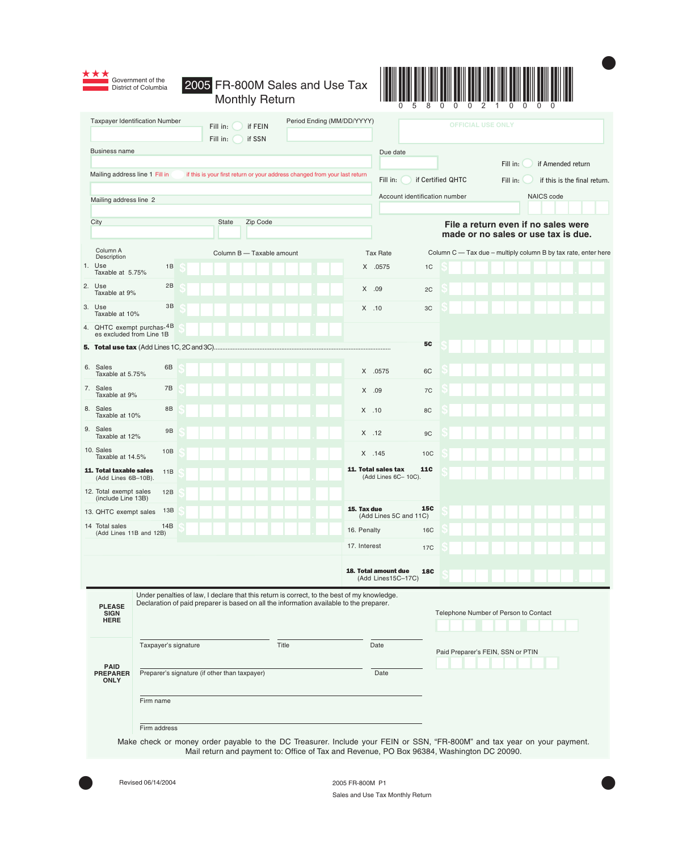



 $\bullet$ 

|                                                                                                                                                                                                                                       | Period Ending (MM/DD/YYYY)<br><b>Taxpayer Identification Number</b><br>if FEIN<br>Fill in:<br>Fill in:<br>if SSN |                   |                                                       |                                                                                                                          |                                          |              |                                             |                 | <b>OFFICIAL USE ONLY</b>                    |                                   |                                       |  |                   |                                                                |
|---------------------------------------------------------------------------------------------------------------------------------------------------------------------------------------------------------------------------------------|------------------------------------------------------------------------------------------------------------------|-------------------|-------------------------------------------------------|--------------------------------------------------------------------------------------------------------------------------|------------------------------------------|--------------|---------------------------------------------|-----------------|---------------------------------------------|-----------------------------------|---------------------------------------|--|-------------------|----------------------------------------------------------------|
| <b>Business name</b>                                                                                                                                                                                                                  |                                                                                                                  |                   |                                                       |                                                                                                                          |                                          |              | Due date                                    |                 |                                             |                                   |                                       |  |                   |                                                                |
|                                                                                                                                                                                                                                       |                                                                                                                  |                   |                                                       | if this is your first return or your address changed from your last return                                               |                                          |              |                                             |                 |                                             |                                   | Fill in:                              |  | if Amended return |                                                                |
| Mailing address line 1 Fill in                                                                                                                                                                                                        |                                                                                                                  | if Certified QHTC |                                                       |                                                                                                                          | Fill in:<br>if this is the final return. |              |                                             |                 |                                             |                                   |                                       |  |                   |                                                                |
|                                                                                                                                                                                                                                       | Mailing address line 2                                                                                           |                   |                                                       |                                                                                                                          |                                          |              |                                             |                 | NAICS code<br>Account identification number |                                   |                                       |  |                   |                                                                |
| City                                                                                                                                                                                                                                  | Zip Code<br><b>State</b>                                                                                         |                   |                                                       |                                                                                                                          |                                          |              |                                             |                 |                                             |                                   | File a return even if no sales were   |  |                   |                                                                |
|                                                                                                                                                                                                                                       |                                                                                                                  |                   |                                                       |                                                                                                                          |                                          |              |                                             |                 |                                             |                                   | made or no sales or use tax is due.   |  |                   |                                                                |
| Column A<br>Description                                                                                                                                                                                                               |                                                                                                                  |                   |                                                       | Column B - Taxable amount                                                                                                |                                          |              | <b>Tax Rate</b>                             |                 |                                             |                                   |                                       |  |                   | Column C - Tax due - multiply column B by tax rate, enter here |
| 1. Use<br>Taxable at 5.75%                                                                                                                                                                                                            | 1B                                                                                                               |                   |                                                       |                                                                                                                          |                                          |              | X .0575                                     | 1 <sup>C</sup>  |                                             |                                   |                                       |  |                   |                                                                |
| 2. Use<br>Taxable at 9%                                                                                                                                                                                                               | 2B                                                                                                               |                   |                                                       |                                                                                                                          |                                          |              | X .09                                       | 2C              |                                             |                                   |                                       |  |                   |                                                                |
| 3. Use<br>Taxable at 10%                                                                                                                                                                                                              | 3B                                                                                                               |                   |                                                       |                                                                                                                          |                                          | $X$ .10      |                                             | 3C              |                                             |                                   |                                       |  |                   |                                                                |
| 4. QHTC exempt purchas-4B<br>es excluded from Line 1B                                                                                                                                                                                 |                                                                                                                  |                   |                                                       |                                                                                                                          |                                          |              |                                             |                 |                                             |                                   |                                       |  |                   |                                                                |
|                                                                                                                                                                                                                                       |                                                                                                                  |                   |                                                       |                                                                                                                          |                                          |              |                                             | <b>5C</b>       |                                             |                                   |                                       |  |                   |                                                                |
| 6. Sales<br>Taxable at 5.75%                                                                                                                                                                                                          | 6B                                                                                                               |                   |                                                       |                                                                                                                          |                                          |              | X .0575                                     | 6C              |                                             |                                   |                                       |  |                   |                                                                |
| 7. Sales<br>Taxable at 9%                                                                                                                                                                                                             | 7B                                                                                                               |                   |                                                       |                                                                                                                          |                                          | $X$ .09      |                                             | 7C              |                                             |                                   |                                       |  |                   |                                                                |
| 8. Sales<br>Taxable at 10%                                                                                                                                                                                                            | 8B                                                                                                               |                   |                                                       |                                                                                                                          |                                          | $X$ .10      |                                             | 8C              |                                             |                                   |                                       |  |                   |                                                                |
| 9. Sales<br>Taxable at 12%                                                                                                                                                                                                            | 9B                                                                                                               |                   |                                                       |                                                                                                                          |                                          | $X$ .12      |                                             | 9C              |                                             |                                   |                                       |  |                   |                                                                |
| 10. Sales<br>Taxable at 14.5%                                                                                                                                                                                                         | 10B                                                                                                              |                   |                                                       |                                                                                                                          |                                          |              | $X$ .145                                    | 10 <sub>C</sub> |                                             |                                   |                                       |  |                   |                                                                |
| 11. Total taxable sales<br>(Add Lines 6B-10B).                                                                                                                                                                                        | 11B                                                                                                              |                   |                                                       |                                                                                                                          |                                          |              | 11. Total sales tax<br>(Add Lines 6C- 10C). | <b>11C</b>      |                                             |                                   |                                       |  |                   |                                                                |
| 12. Total exempt sales<br>(include Line 13B)                                                                                                                                                                                          | 12B                                                                                                              |                   |                                                       |                                                                                                                          |                                          |              |                                             |                 |                                             |                                   |                                       |  |                   |                                                                |
| 13. QHTC exempt sales                                                                                                                                                                                                                 | 13B                                                                                                              |                   |                                                       |                                                                                                                          |                                          | 15. Tax due  | (Add Lines 5C and 11C)                      | <b>15C</b>      |                                             |                                   |                                       |  |                   |                                                                |
| 14 Total sales<br>(Add Lines 11B and 12B)                                                                                                                                                                                             | 14B                                                                                                              |                   |                                                       |                                                                                                                          |                                          | 16. Penalty  |                                             | 16C             |                                             |                                   |                                       |  |                   |                                                                |
|                                                                                                                                                                                                                                       |                                                                                                                  |                   |                                                       |                                                                                                                          |                                          | 17. Interest |                                             | 17C             |                                             |                                   |                                       |  |                   |                                                                |
|                                                                                                                                                                                                                                       |                                                                                                                  |                   |                                                       |                                                                                                                          |                                          |              | 18. Total amount due<br>(Add Lines15C-17C)  | <b>18C</b>      |                                             |                                   |                                       |  |                   |                                                                |
| Under penalties of law, I declare that this return is correct, to the best of my knowledge.<br>Declaration of paid preparer is based on all the information available to the preparer.<br><b>PLEASE</b><br><b>SIGN</b><br><b>HERE</b> |                                                                                                                  |                   |                                                       |                                                                                                                          |                                          |              |                                             |                 |                                             |                                   | Telephone Number of Person to Contact |  |                   |                                                                |
|                                                                                                                                                                                                                                       | Taxpayer's signature                                                                                             |                   |                                                       | Title                                                                                                                    |                                          |              | Date                                        |                 |                                             |                                   |                                       |  |                   |                                                                |
| <b>PAID</b>                                                                                                                                                                                                                           |                                                                                                                  |                   |                                                       |                                                                                                                          |                                          |              |                                             |                 |                                             | Paid Preparer's FEIN, SSN or PTIN |                                       |  |                   |                                                                |
| <b>PREPARER</b><br><b>ONLY</b>                                                                                                                                                                                                        |                                                                                                                  |                   | Preparer's signature (if other than taxpayer)<br>Date |                                                                                                                          |                                          |              |                                             |                 |                                             |                                   |                                       |  |                   |                                                                |
|                                                                                                                                                                                                                                       | Firm name                                                                                                        |                   |                                                       |                                                                                                                          |                                          |              |                                             |                 |                                             |                                   |                                       |  |                   |                                                                |
|                                                                                                                                                                                                                                       | Firm address                                                                                                     |                   |                                                       |                                                                                                                          |                                          |              |                                             |                 |                                             |                                   |                                       |  |                   |                                                                |
|                                                                                                                                                                                                                                       |                                                                                                                  |                   |                                                       | Make check or money order payable to the DC Treasurer, Include your FEIN or SSN, "FR-800M" and tax year on your payment. |                                          |              |                                             |                 |                                             |                                   |                                       |  |                   |                                                                |

Make check or money order payable to the DC Treasurer. Include your FEIN or SSN, "FR-800M" and tax year on your payment. Mail return and payment to: Office of Tax and Revenue, PO Box 96384, Washington DC 20090.